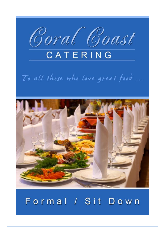

# To all those who love great food ...



# Formal / Sit Down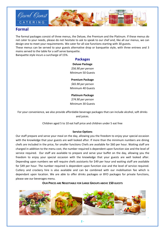

# **Formal**

The formal packages consist of three menus, the Deluxe, the Premium and the Platinum. If these menus do not cater to your needs, please do not hesitate to ask to speak to our chef and, like all our menus, we can design one to meet your requirements. We cater for all size functions starting with 30 guests.

These menus can be served to your guests alternative drop or banquette style, with three entrees and 3 mains served to the table for a self serve banquette.

Banquette style incurs a surcharge of 15%.

## **Packages**

# **Deluxe Package** *\$56.90 per person* Minimum 50 Guests

**Premium Package**

*\$65.90 per person* Minimum 40 Guests

**Platinum Package** *\$74.90 per person* Minimum 30 Guests

For your convenience, we also provide affordable beverage packages that can include alcohol, soft drinks and juices.

Children aged 5 to 10 eat half price and children under 5 eat free

#### **Service Options**

Our staff prepare and serve your meal on the day, allowing you the freedom to enjoy your special occasion with the knowledge that your guests are well looked after. If more than the minimum numbers are dining chefs are included in the price, for smaller functions Chefs are available for \$60 per hour. Waiting staff are charged in addition to the menu cost, the number required is dependent upon function size and the level of service required. Our staff are available to prepare and serve your buffet on the day, allowing you the freedom to enjoy your special occasion with the knowledge that your guests are well looked after. Depending upon numbers we will require chefs assistants for \$49 per hour and waiting staff are available for \$49 per hour. The number required is dependent upon function size and the level of service required. Cutlery and crockery hire is also available and can be combined with our mobilisation fee which is dependant upon location. We are able to offer drinks packages or BYO packages for private functions, please see our beverages menu.

#### **OUR PRICES ARE NEGOTIABLE FOR LARGE GROUPS ABOVE 150 GUESTS**



**-**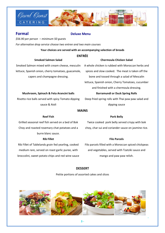



| <b>Formal</b><br><b>Deluxe Menu</b>                                 |                                                      |
|---------------------------------------------------------------------|------------------------------------------------------|
| \$56.90 per person – minimum 50 guests                              |                                                      |
| For alternative drop service choose two entree and two main courses |                                                      |
| Your choices are served with an accompanying selection of breads    |                                                      |
| <b>ENTRÉE</b>                                                       |                                                      |
| <b>Smoked Salmon Salad</b>                                          | <b>Chermoula Chicken Salad</b>                       |
| Smoked Salmon mixed with cream cheese, mesculin                     | A whole chicken is rubbed with Moroccan herbs and    |
| lettuce, Spanish onion, cherry tomatoes, guacamole,                 | spices and slow cooked. The meat is taken off the    |
| capers and champagne dressing.                                      | bone and tossed through a salad of Mescalin          |
|                                                                     | lettuce, Spanish onion, Cherry Tomatoes, cucumber    |
|                                                                     | and finished with a chermoula dressing.              |
|                                                                     |                                                      |
| Mushroom, Spinach & Feta Arancini balls                             | <b>Barramundi or Duck Spring Rolls</b>               |
| Risotto rice balls served with spicy Tomato dipping                 | Deep fried spring rolls with Thai paw paw salad and  |
| sauce & Aioli                                                       | dipping sauce                                        |
|                                                                     | <b>MAINS</b>                                         |
| <b>Reef Fish</b>                                                    | <b>Pork Belly</b>                                    |
| Grilled seasonal reef fish served on a bed of Bok                   | Twice cooked pork belly served crispy with bok       |
| Choy and roasted rosemary chat potatoes and a                       | choy, char sui and coriander sauce on jasmine rice.  |
| burre blanc sauce.                                                  |                                                      |
| <b>Rib Fillet</b>                                                   | <b>Filo Parcels</b>                                  |
| Rib Fillet of Tablelands grain fed yearling, cooked                 | Filo parcels filled with a Moroccan spiced chickpeas |

broccolini, sweet potato chips and red wine sauce

and vegetables, served with Tzatziki sauce and mango and paw paw relish.

**-**

# **DESSERT**

Petite portions of assorted cakes and slices

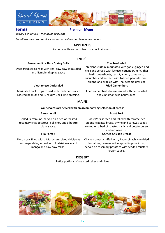

# **Formal Premium Menu**

*\$65.90 per person – minimum 40 guests*

*For alternative drop service choose two entree and two main courses*

# **APPETIZERS**

A choice of three items from our cocktail menu.

# **ENTRÉE**

## **Barramundi or Duck Spring Rolls**

Deep fried spring rolls with Thai paw paw salza salad and Nam Jim dipping sauce

#### **Vietnamese Duck salad**

Marinated duck strips tossed with fresh herb salad Toasted peanuts and Tum Yum Chilli lime dressing. Tablelands sirloin marinated with garlic ,ginger and chilli and served with lettuce, coriander, mint, Thai basil, beanshoots, carrot, cherry tomatoes , cucumber and finished with toasted peanuts , fried onions and drizzled with Thai sesame dressing **Fried Camembert**

**Thai beef salad**

Fried camembert cheese served with petite salad and cinnamon wild berry sauce.

# **MAINS**

#### **Your choices are served with an accompanying selection of breads**

#### **Barramundi**

## **Roast Pork**

Grilled Barramundi served on a bed of roasted rosemary chat potatoes, bok choy and a beurre blanc sauce.

#### **Filo Parcels**

Filo parcels filled with a Moroccan spiced chickpeas and vegetables, served with Tzatziki sauce and mango and paw paw relish.

Roast Pork stuffed and rolled with caramelised onions, ciabatta bread, thyme and caraway seeds, served on a bed of roasted garlic and potato puree and red wine jus. **Stuffed Chicken Breast**

Chicken breast stuffed with, Baby spinach, sun dried tomatoes, camembert wrapped in prosciutto, served on rosemary potatoes with seeded mustard cream sauce.

**-**

## **DESSERT**

Petite portions of assorted cakes and slices